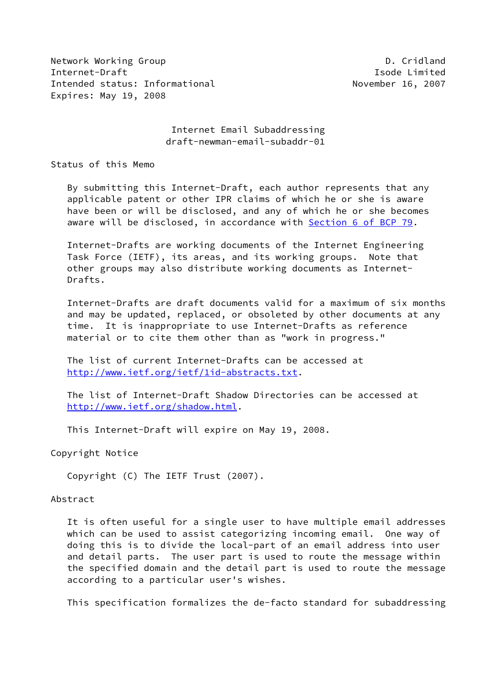Network Working Group **D. Communist Communist Communist Communist Communist Communist Communist Communist Communist Communist Communist Communist Communist Communist Communist Communist Communist Communist Communist Commun** Internet-Draft Isode Limited Intended status: Informational November 16, 2007 Expires: May 19, 2008

## Internet Email Subaddressing draft-newman-email-subaddr-01

Status of this Memo

 By submitting this Internet-Draft, each author represents that any applicable patent or other IPR claims of which he or she is aware have been or will be disclosed, and any of which he or she becomes aware will be disclosed, in accordance with Section [6 of BCP 79.](https://datatracker.ietf.org/doc/pdf/bcp79#section-6)

 Internet-Drafts are working documents of the Internet Engineering Task Force (IETF), its areas, and its working groups. Note that other groups may also distribute working documents as Internet- Drafts.

 Internet-Drafts are draft documents valid for a maximum of six months and may be updated, replaced, or obsoleted by other documents at any time. It is inappropriate to use Internet-Drafts as reference material or to cite them other than as "work in progress."

 The list of current Internet-Drafts can be accessed at <http://www.ietf.org/ietf/1id-abstracts.txt>.

 The list of Internet-Draft Shadow Directories can be accessed at <http://www.ietf.org/shadow.html>.

This Internet-Draft will expire on May 19, 2008.

Copyright Notice

Copyright (C) The IETF Trust (2007).

#### Abstract

 It is often useful for a single user to have multiple email addresses which can be used to assist categorizing incoming email. One way of doing this is to divide the local-part of an email address into user and detail parts. The user part is used to route the message within the specified domain and the detail part is used to route the message according to a particular user's wishes.

This specification formalizes the de-facto standard for subaddressing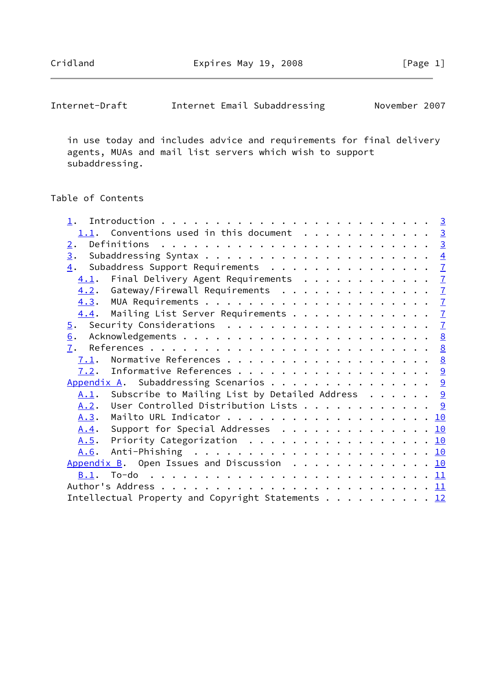| Internet Email Subaddressing<br>Internet-Draft |  | November 2007 |  |
|------------------------------------------------|--|---------------|--|
|------------------------------------------------|--|---------------|--|

 in use today and includes advice and requirements for final delivery agents, MUAs and mail list servers which wish to support subaddressing.

# Table of Contents

|              | 1.1. Conventions used in this document 3             |  |  |  |  |
|--------------|------------------------------------------------------|--|--|--|--|
| 2.           |                                                      |  |  |  |  |
|              |                                                      |  |  |  |  |
|              | 4. Subaddress Support Requirements 7                 |  |  |  |  |
|              | 4.1. Final Delivery Agent Requirements 7             |  |  |  |  |
|              | 4.2. Gateway/Firewall Requirements 7                 |  |  |  |  |
|              |                                                      |  |  |  |  |
|              | 4.4. Mailing List Server Requirements 7              |  |  |  |  |
|              |                                                      |  |  |  |  |
| 6.           |                                                      |  |  |  |  |
|              |                                                      |  |  |  |  |
|              | 7.1. Normative References 8                          |  |  |  |  |
|              |                                                      |  |  |  |  |
|              | Appendix A. Subaddressing Scenarios 9                |  |  |  |  |
|              | A.1. Subscribe to Mailing List by Detailed Address 9 |  |  |  |  |
|              | <u>A.2</u> . User Controlled Distribution Lists 9    |  |  |  |  |
| A.3.         |                                                      |  |  |  |  |
|              | A.4. Support for Special Addresses 10                |  |  |  |  |
| <u>A.5</u> . | Priority Categorization 10                           |  |  |  |  |
|              |                                                      |  |  |  |  |
|              | Appendix B. Open Issues and Discussion 10            |  |  |  |  |
|              |                                                      |  |  |  |  |
|              |                                                      |  |  |  |  |
|              |                                                      |  |  |  |  |
|              | Intellectual Property and Copyright Statements 12    |  |  |  |  |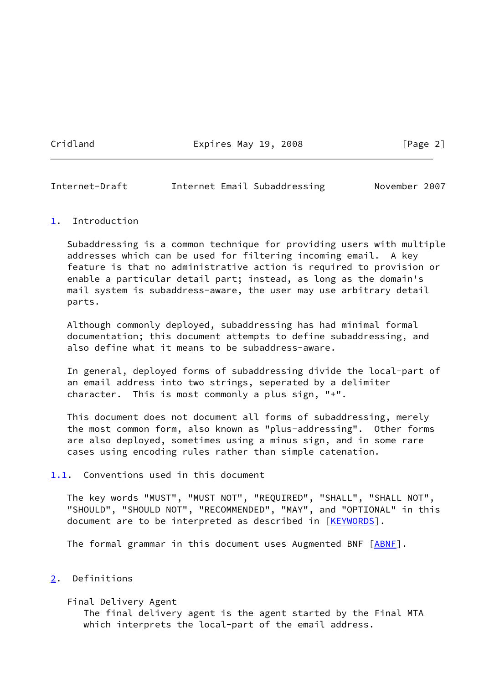Cridland **Expires May 19, 2008** [Page 2]

<span id="page-2-1"></span>Internet-Draft Internet Email Subaddressing November 2007

## <span id="page-2-0"></span>[1](#page-2-0). Introduction

 Subaddressing is a common technique for providing users with multiple addresses which can be used for filtering incoming email. A key feature is that no administrative action is required to provision or enable a particular detail part; instead, as long as the domain's mail system is subaddress-aware, the user may use arbitrary detail parts.

 Although commonly deployed, subaddressing has had minimal formal documentation; this document attempts to define subaddressing, and also define what it means to be subaddress-aware.

 In general, deployed forms of subaddressing divide the local-part of an email address into two strings, seperated by a delimiter character. This is most commonly a plus sign, "+".

 This document does not document all forms of subaddressing, merely the most common form, also known as "plus-addressing". Other forms are also deployed, sometimes using a minus sign, and in some rare cases using encoding rules rather than simple catenation.

<span id="page-2-2"></span>[1.1](#page-2-2). Conventions used in this document

 The key words "MUST", "MUST NOT", "REQUIRED", "SHALL", "SHALL NOT", "SHOULD", "SHOULD NOT", "RECOMMENDED", "MAY", and "OPTIONAL" in this document are to be interpreted as described in [\[KEYWORDS](#page-9-5)].

The formal grammar in this document uses Augmented BNF [ABNE].

## <span id="page-2-3"></span>[2](#page-2-3). Definitions

 Final Delivery Agent The final delivery agent is the agent started by the Final MTA which interprets the local-part of the email address.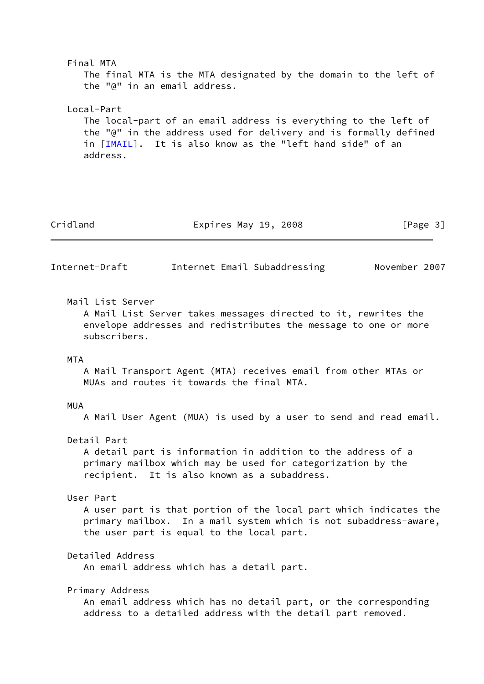<span id="page-3-0"></span> Final MTA The final MTA is the MTA designated by the domain to the left of the "@" in an email address. Local-Part The local-part of an email address is everything to the left of the "@" in the address used for delivery and is formally defined in [[IMAIL\]](#page-8-4). It is also know as the "left hand side" of an address. Cridland **Expires May 19, 2008** [Page 3] Internet-Draft Internet Email Subaddressing November 2007 Mail List Server A Mail List Server takes messages directed to it, rewrites the envelope addresses and redistributes the message to one or more subscribers. MTA A Mail Transport Agent (MTA) receives email from other MTAs or MUAs and routes it towards the final MTA. MUA A Mail User Agent (MUA) is used by a user to send and read email. Detail Part A detail part is information in addition to the address of a primary mailbox which may be used for categorization by the recipient. It is also known as a subaddress. User Part A user part is that portion of the local part which indicates the primary mailbox. In a mail system which is not subaddress-aware, the user part is equal to the local part. Detailed Address An email address which has a detail part. Primary Address An email address which has no detail part, or the corresponding address to a detailed address with the detail part removed.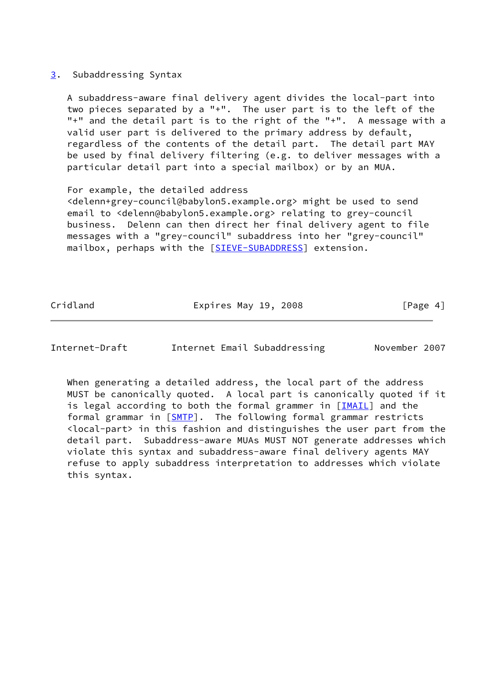## <span id="page-4-0"></span>[3](#page-4-0). Subaddressing Syntax

 A subaddress-aware final delivery agent divides the local-part into two pieces separated by a "+". The user part is to the left of the "+" and the detail part is to the right of the "+". A message with a valid user part is delivered to the primary address by default, regardless of the contents of the detail part. The detail part MAY be used by final delivery filtering (e.g. to deliver messages with a particular detail part into a special mailbox) or by an MUA.

 For example, the detailed address <delenn+grey-council@babylon5.example.org> might be used to send email to <delenn@babylon5.example.org> relating to grey-council business. Delenn can then direct her final delivery agent to file messages with a "grey-council" subaddress into her "grey-council" mailbox, perhaps with the [[SIEVE-SUBADDRESS\]](#page-9-6) extension.

Cridland **Expires May 19, 2008** [Page 4]

Internet-Draft Internet Email Subaddressing November 2007

 When generating a detailed address, the local part of the address MUST be canonically quoted. A local part is canonically quoted if it is legal according to both the formal grammer in [\[IMAIL\]](#page-8-4) and the formal grammar in [[SMTP\]](#page-9-7). The following formal grammar restricts <local-part> in this fashion and distinguishes the user part from the detail part. Subaddress-aware MUAs MUST NOT generate addresses which violate this syntax and subaddress-aware final delivery agents MAY refuse to apply subaddress interpretation to addresses which violate this syntax.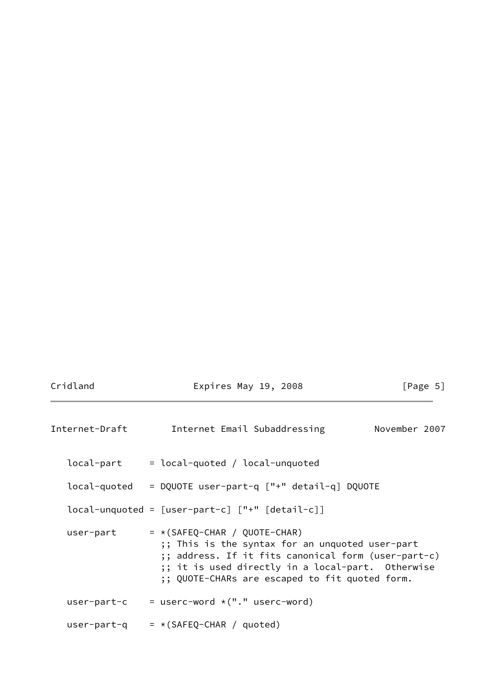| Internet-Draft | Internet Email Subaddressing                                                                                                                                                                                                                     | November 2007 |  |
|----------------|--------------------------------------------------------------------------------------------------------------------------------------------------------------------------------------------------------------------------------------------------|---------------|--|
| local-part     | $=$ local-quoted / local-unquoted                                                                                                                                                                                                                |               |  |
|                | local-quoted = DQUOTE user-part-q ["+" detail-q] DQUOTE                                                                                                                                                                                          |               |  |
|                | $local$ -unquoted = $[user$ -part-c] $["+"$ $[detail-c]]$                                                                                                                                                                                        |               |  |
| user-part      | $= * (SAFEQ-CHAR / QUOTE-CHAR)$<br>;; This is the syntax for an unquoted user-part<br>;; address. If it fits canonical form (user-part-c)<br>;; it is used directly in a local-part. Otherwise<br>;; QUOTE-CHARs are escaped to fit quoted form. |               |  |
|                | user-part-c $=$ userc-word $*(".$ userc-word)                                                                                                                                                                                                    |               |  |
|                | user-part-q $=*(SAFEQ-CHAR / quoted)$                                                                                                                                                                                                            |               |  |

Cridland **Expires May 19, 2008** [Page 5]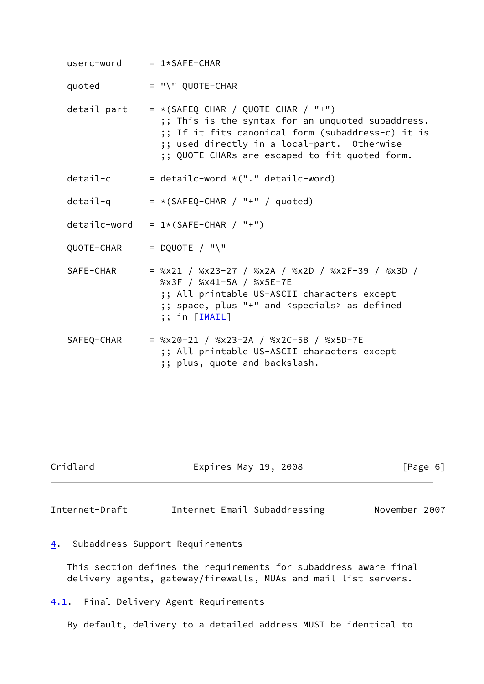$userc-word = 1*SAFE-CHAR$  $quoted$  = "\"  $QUOTE-CHAR$ detail-part =  $*(SAFEQ-CHAR / QUOTE-CHAR / "+")$  ;; This is the syntax for an unquoted subaddress. ;; If it fits canonical form (subaddress-c) it is ;; used directly in a local-part. Otherwise ;; QUOTE-CHARs are escaped to fit quoted form. detail-c  $=$  detailc-word  $*(".$ " detailc-word) detail-q  $=*(SAFEQ-CHAR / "+" / quoted)$ detailc-word =  $1*(SAFE-CHAR / "+")$  $QUOTE-CHAR$  = DQUOTE / "\" SAFE-CHAR = %x21 / %x23-27 / %x2A / %x2D / %x2F-39 / %x3D / %x3F / %x41-5A / %x5E-7E ;; All printable US-ASCII characters except ;; space, plus "+" and <specials> as defined ;; in [\[IMAIL](#page-8-4)] SAFEQ-CHAR = %x20-21 / %x23-2A / %x2C-5B / %x5D-7E

 ;; All printable US-ASCII characters except ;; plus, quote and backslash.

|  | Cridland |  |
|--|----------|--|
|  |          |  |

Cridland Expires May 19, 2008 [Page 6]

<span id="page-6-1"></span>Internet-Draft Internet Email Subaddressing November 2007

<span id="page-6-0"></span>[4](#page-6-0). Subaddress Support Requirements

 This section defines the requirements for subaddress aware final delivery agents, gateway/firewalls, MUAs and mail list servers.

<span id="page-6-2"></span>[4.1](#page-6-2). Final Delivery Agent Requirements

By default, delivery to a detailed address MUST be identical to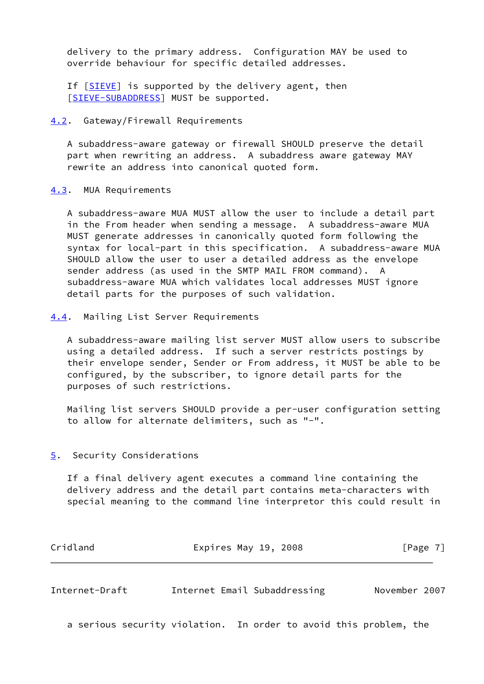delivery to the primary address. Configuration MAY be used to override behaviour for specific detailed addresses.

If [[SIEVE\]](#page-9-8) is supported by the delivery agent, then [\[SIEVE-SUBADDRESS](#page-9-6)] MUST be supported.

#### <span id="page-7-0"></span>[4.2](#page-7-0). Gateway/Firewall Requirements

 A subaddress-aware gateway or firewall SHOULD preserve the detail part when rewriting an address. A subaddress aware gateway MAY rewrite an address into canonical quoted form.

#### <span id="page-7-1"></span>[4.3](#page-7-1). MUA Requirements

 A subaddress-aware MUA MUST allow the user to include a detail part in the From header when sending a message. A subaddress-aware MUA MUST generate addresses in canonically quoted form following the syntax for local-part in this specification. A subaddress-aware MUA SHOULD allow the user to user a detailed address as the envelope sender address (as used in the SMTP MAIL FROM command). A subaddress-aware MUA which validates local addresses MUST ignore detail parts for the purposes of such validation.

<span id="page-7-2"></span>[4.4](#page-7-2). Mailing List Server Requirements

 A subaddress-aware mailing list server MUST allow users to subscribe using a detailed address. If such a server restricts postings by their envelope sender, Sender or From address, it MUST be able to be configured, by the subscriber, to ignore detail parts for the purposes of such restrictions.

 Mailing list servers SHOULD provide a per-user configuration setting to allow for alternate delimiters, such as "-".

#### <span id="page-7-3"></span>[5](#page-7-3). Security Considerations

 If a final delivery agent executes a command line containing the delivery address and the detail part contains meta-characters with special meaning to the command line interpretor this could result in

| Cridland | Expires May 19, 2008 |  | [Page 7] |  |
|----------|----------------------|--|----------|--|
|          |                      |  |          |  |

<span id="page-7-4"></span>

| Internet-Draft |  | Internet Email Subaddressing | November 2007 |  |
|----------------|--|------------------------------|---------------|--|
|----------------|--|------------------------------|---------------|--|

a serious security violation. In order to avoid this problem, the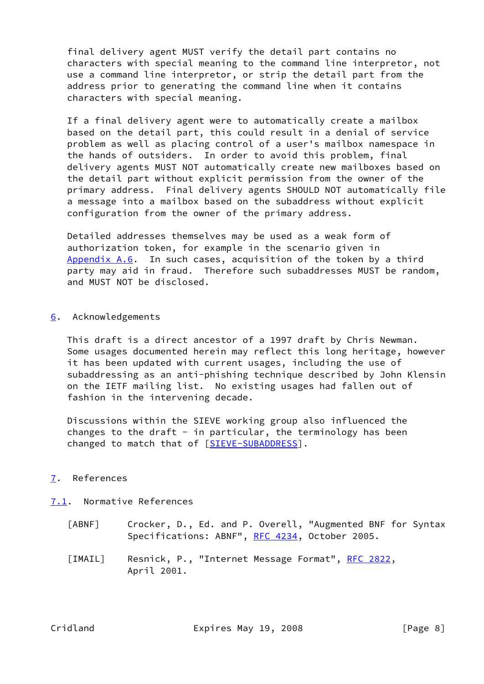final delivery agent MUST verify the detail part contains no characters with special meaning to the command line interpretor, not use a command line interpretor, or strip the detail part from the address prior to generating the command line when it contains characters with special meaning.

 If a final delivery agent were to automatically create a mailbox based on the detail part, this could result in a denial of service problem as well as placing control of a user's mailbox namespace in the hands of outsiders. In order to avoid this problem, final delivery agents MUST NOT automatically create new mailboxes based on the detail part without explicit permission from the owner of the primary address. Final delivery agents SHOULD NOT automatically file a message into a mailbox based on the subaddress without explicit configuration from the owner of the primary address.

 Detailed addresses themselves may be used as a weak form of authorization token, for example in the scenario given in [Appendix A.6](#page-10-4). In such cases, acquisition of the token by a third party may aid in fraud. Therefore such subaddresses MUST be random, and MUST NOT be disclosed.

<span id="page-8-0"></span>[6](#page-8-0). Acknowledgements

 This draft is a direct ancestor of a 1997 draft by Chris Newman. Some usages documented herein may reflect this long heritage, however it has been updated with current usages, including the use of subaddressing as an anti-phishing technique described by John Klensin on the IETF mailing list. No existing usages had fallen out of fashion in the intervening decade.

 Discussions within the SIEVE working group also influenced the changes to the draft - in particular, the terminology has been changed to match that of [\[SIEVE-SUBADDRESS](#page-9-6)].

## <span id="page-8-1"></span>[7](#page-8-1). References

## <span id="page-8-2"></span>[7.1](#page-8-2). Normative References

- <span id="page-8-3"></span> [ABNF] Crocker, D., Ed. and P. Overell, "Augmented BNF for Syntax Specifications: ABNF", [RFC 4234](https://datatracker.ietf.org/doc/pdf/rfc4234), October 2005.
- <span id="page-8-4"></span>[IMAIL] Resnick, P., "Internet Message Format", [RFC 2822,](https://datatracker.ietf.org/doc/pdf/rfc2822) April 2001.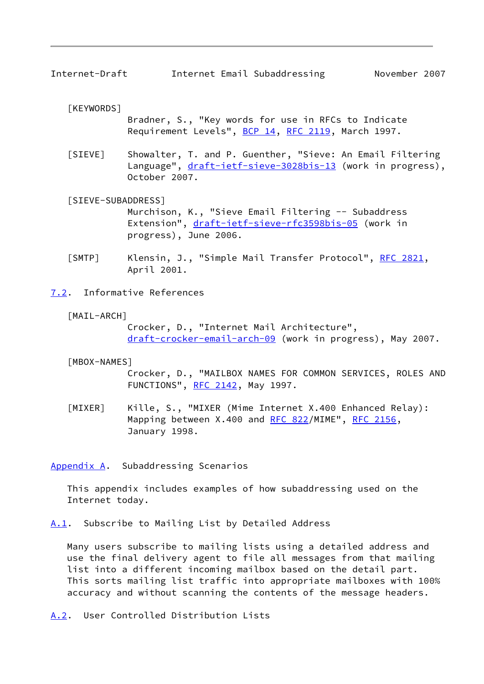<span id="page-9-5"></span><span id="page-9-1"></span>[KEYWORDS]

 Bradner, S., "Key words for use in RFCs to Indicate Requirement Levels", [BCP 14](https://datatracker.ietf.org/doc/pdf/bcp14), [RFC 2119](https://datatracker.ietf.org/doc/pdf/rfc2119), March 1997.

<span id="page-9-8"></span> [SIEVE] Showalter, T. and P. Guenther, "Sieve: An Email Filtering Language", [draft-ietf-sieve-3028bis-13](https://datatracker.ietf.org/doc/pdf/draft-ietf-sieve-3028bis-13) (work in progress), October 2007.

<span id="page-9-6"></span>[SIEVE-SUBADDRESS]

 Murchison, K., "Sieve Email Filtering -- Subaddress Extension", [draft-ietf-sieve-rfc3598bis-05](https://datatracker.ietf.org/doc/pdf/draft-ietf-sieve-rfc3598bis-05) (work in progress), June 2006.

<span id="page-9-7"></span> [SMTP] Klensin, J., "Simple Mail Transfer Protocol", [RFC 2821](https://datatracker.ietf.org/doc/pdf/rfc2821), April 2001.

<span id="page-9-0"></span>[7.2](#page-9-0). Informative References

<span id="page-9-11"></span>[MAIL-ARCH]

 Crocker, D., "Internet Mail Architecture", [draft-crocker-email-arch-09](https://datatracker.ietf.org/doc/pdf/draft-crocker-email-arch-09) (work in progress), May 2007.

#### <span id="page-9-9"></span>[MBOX-NAMES]

 Crocker, D., "MAILBOX NAMES FOR COMMON SERVICES, ROLES AND FUNCTIONS", [RFC 2142,](https://datatracker.ietf.org/doc/pdf/rfc2142) May 1997.

<span id="page-9-10"></span> [MIXER] Kille, S., "MIXER (Mime Internet X.400 Enhanced Relay): Mapping between X.400 and [RFC 822](https://datatracker.ietf.org/doc/pdf/rfc822)/MIME", [RFC 2156,](https://datatracker.ietf.org/doc/pdf/rfc2156) January 1998.

<span id="page-9-2"></span>[Appendix A.](#page-9-2) Subaddressing Scenarios

 This appendix includes examples of how subaddressing used on the Internet today.

<span id="page-9-3"></span>[A.1](#page-9-3). Subscribe to Mailing List by Detailed Address

 Many users subscribe to mailing lists using a detailed address and use the final delivery agent to file all messages from that mailing list into a different incoming mailbox based on the detail part. This sorts mailing list traffic into appropriate mailboxes with 100% accuracy and without scanning the contents of the message headers.

<span id="page-9-4"></span>[A.2](#page-9-4). User Controlled Distribution Lists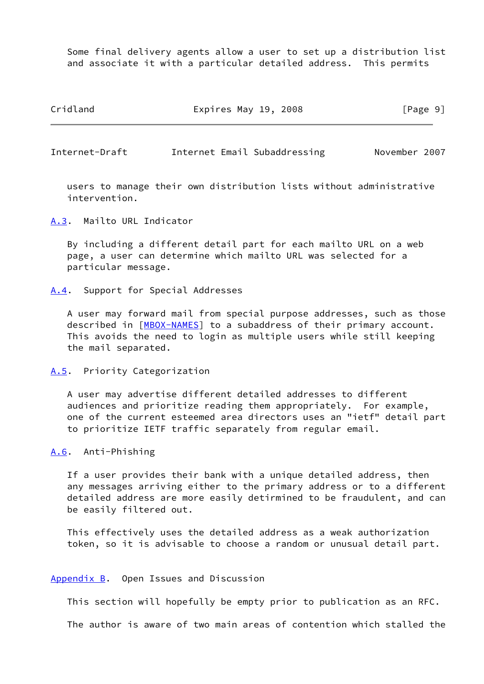Some final delivery agents allow a user to set up a distribution list and associate it with a particular detailed address. This permits

Cridland **Expires May 19, 2008** [Page 9]

<span id="page-10-1"></span>Internet-Draft Internet Email Subaddressing November 2007

 users to manage their own distribution lists without administrative intervention.

<span id="page-10-0"></span>[A.3](#page-10-0). Mailto URL Indicator

 By including a different detail part for each mailto URL on a web page, a user can determine which mailto URL was selected for a particular message.

<span id="page-10-2"></span>[A.4](#page-10-2). Support for Special Addresses

 A user may forward mail from special purpose addresses, such as those described in [\[MBOX-NAMES\]](#page-9-9) to a subaddress of their primary account. This avoids the need to login as multiple users while still keeping the mail separated.

<span id="page-10-3"></span>[A.5](#page-10-3). Priority Categorization

 A user may advertise different detailed addresses to different audiences and prioritize reading them appropriately. For example, one of the current esteemed area directors uses an "ietf" detail part to prioritize IETF traffic separately from regular email.

## <span id="page-10-4"></span>[A.6](#page-10-4). Anti-Phishing

 If a user provides their bank with a unique detailed address, then any messages arriving either to the primary address or to a different detailed address are more easily detirmined to be fraudulent, and can be easily filtered out.

 This effectively uses the detailed address as a weak authorization token, so it is advisable to choose a random or unusual detail part.

#### <span id="page-10-5"></span>[Appendix B.](#page-10-5) Open Issues and Discussion

This section will hopefully be empty prior to publication as an RFC.

The author is aware of two main areas of contention which stalled the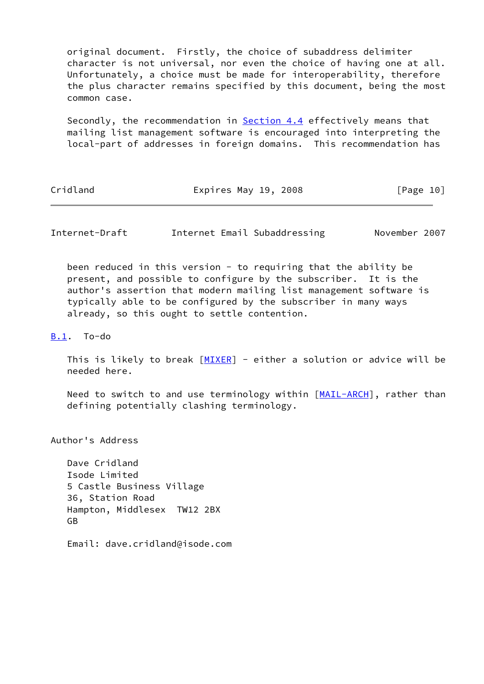original document. Firstly, the choice of subaddress delimiter character is not universal, nor even the choice of having one at all. Unfortunately, a choice must be made for interoperability, therefore the plus character remains specified by this document, being the most common case.

Secondly, the recommendation in [Section 4.4](#page-7-2) effectively means that mailing list management software is encouraged into interpreting the local-part of addresses in foreign domains. This recommendation has

Cridland **Expires May 19, 2008** [Page 10]

<span id="page-11-1"></span>Internet-Draft Internet Email Subaddressing November 2007

been reduced in this version - to requiring that the ability be present, and possible to configure by the subscriber. It is the author's assertion that modern mailing list management software is typically able to be configured by the subscriber in many ways already, so this ought to settle contention.

<span id="page-11-0"></span>[B.1](#page-11-0). To-do

This is likely to break  $[MIXER]$  $[MIXER]$  - either a solution or advice will be needed here.

Need to switch to and use terminology within [\[MAIL-ARCH\]](#page-9-11), rather than defining potentially clashing terminology.

Author's Address

 Dave Cridland Isode Limited 5 Castle Business Village 36, Station Road Hampton, Middlesex TW12 2BX GB

Email: dave.cridland@isode.com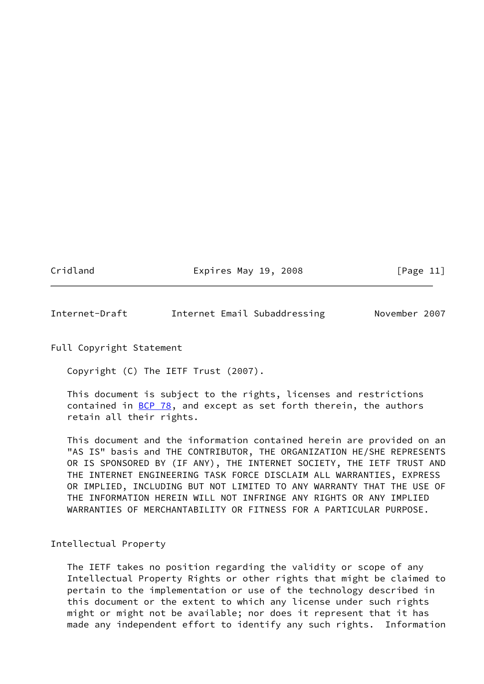Cridland **Expires May 19, 2008** [Page 11]

<span id="page-12-0"></span>Internet-Draft Internet Email Subaddressing November 2007

Full Copyright Statement

Copyright (C) The IETF Trust (2007).

 This document is subject to the rights, licenses and restrictions contained in  $\underline{BCP}$  78, and except as set forth therein, the authors retain all their rights.

 This document and the information contained herein are provided on an "AS IS" basis and THE CONTRIBUTOR, THE ORGANIZATION HE/SHE REPRESENTS OR IS SPONSORED BY (IF ANY), THE INTERNET SOCIETY, THE IETF TRUST AND THE INTERNET ENGINEERING TASK FORCE DISCLAIM ALL WARRANTIES, EXPRESS OR IMPLIED, INCLUDING BUT NOT LIMITED TO ANY WARRANTY THAT THE USE OF THE INFORMATION HEREIN WILL NOT INFRINGE ANY RIGHTS OR ANY IMPLIED WARRANTIES OF MERCHANTABILITY OR FITNESS FOR A PARTICULAR PURPOSE.

Intellectual Property

 The IETF takes no position regarding the validity or scope of any Intellectual Property Rights or other rights that might be claimed to pertain to the implementation or use of the technology described in this document or the extent to which any license under such rights might or might not be available; nor does it represent that it has made any independent effort to identify any such rights. Information